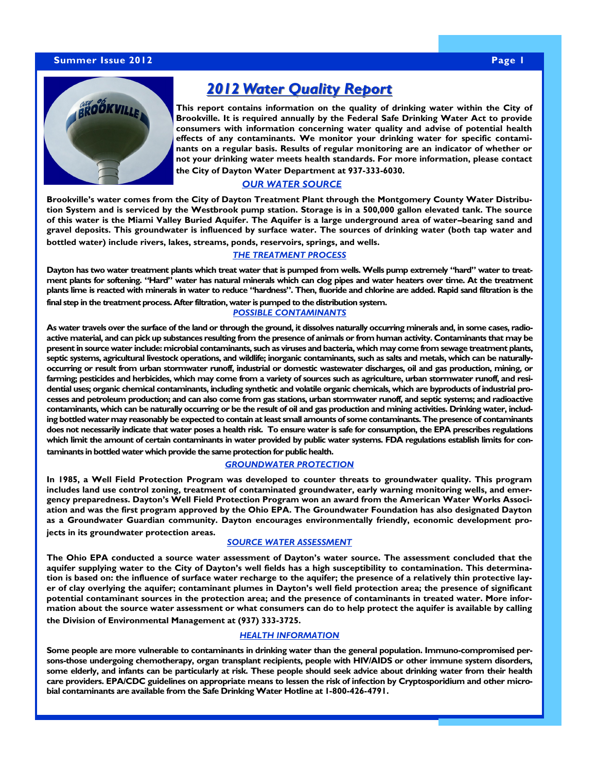# **Summer Issue 2012 Page 1 Summer Issue 2012 Page 1**



# **2012 Water Quality Report**

**This report contains information on the quality of drinking water within the City of Brookville. It is required annually by the Federal Safe Drinking Water Act to provide EXEPTE CONSUMERS WITH INFORMATION CONCERNITY WATER QUALITY AND ADVISE OF potential health effects of any contaminants. We monitor your drinking water for specific contaminants on a regular basis. Results of regular monitoring are an indicator of whether or not your drinking water meets health standards. For more information, please contact** 

**the City of Dayton Water Department at 937-333-6030.** 

# trict. Permits are typically required for the follow-*OUR WATER SOURCE*

Brookville's water comes from the City of Dayton Treatment Plant through the Montgomery County Water Distribution System and is serviced by the Westbrook pump station. Storage is in a 500,000 gallon elevated tank. The source of this water is the Miami Valley Buried Aquifer. The Aquifer is a large underground area of water–bearing sand and gravel deposits. This groundwater is influenced by surface water. The sources of drinking water (both tap water and bottled water) include rivers, lakes, streams, ponds, reservoirs, springs, and wells.

## *THE TREATMENT PROCESS*

Remember, if in doubt, contact our zoning office at **Dayton has two water treatment plants which treat water that is pumped from wells. Wells pump extremely "hard" water to treat-**833-2135. **ment plants for softening. "Hard" water has natural minerals which can clog pipes and water heaters over time. At the treatment plants lime is reacted with minerals in water to reduce "hardness". Then, fluoride and chlorine are added. Rapid sand filtration is the final step in the treatment process. After filtration, water is pumped to the distribution system.** 

#### *POSSIBLE CONTAMINANTS*

**As water travels over the surface of the land or through the ground, it dissolves naturally occurring minerals and, in some cases, radioactive material, and can pick up substances resulting from the presence of animals or from human activity. Contaminants that may be present in source water include: microbial contaminants, such as viruses and bacteria, which may come from sewage treatment plants, septic systems, agricultural livestock operations, and wildlife; inorganic contaminants, such as salts and metals, which can be naturallyoccurring or result from urban stormwater runoff, industrial or domestic wastewater discharges, oil and gas production, mining, or farming; pesticides and herbicides, which may come from a variety of sources such as agriculture, urban stormwater runoff, and residential uses; organic chemical contaminants, including synthetic and volatile organic chemicals, which are byproducts of industrial processes and petroleum production; and can also come from gas stations, urban stormwater runoff, and septic systems; and radioactive contaminants, which can be naturally occurring or be the result of oil and gas production and mining activities. Drinking water, including bottled water may reasonably be expected to contain at least small amounts of some contaminants. The presence of contaminants does not necessarily indicate that water poses a health risk. To ensure water is safe for consumption, the EPA prescribes regulations which limit the amount of certain contaminants in water provided by public water systems. FDA regulations establish limits for contaminants in bottled water which provide the same protection for public health.**

### *GROUNDWATER PROTECTION*

**In 1985, a Well Field Protection Program was developed to counter threats to groundwater quality. This program includes land use control zoning, treatment of contaminated groundwater, early warning monitoring wells, and emergency preparedness. Dayton's Well Field Protection Program won an award from the American Water Works Association and was the first program approved by the Ohio EPA. The Groundwater Foundation has also designated Dayton as a Groundwater Guardian community. Dayton encourages environmentally friendly, economic development projects in its groundwater protection areas.** 

## *SOURCE WATER ASSESSMENT*

**The Ohio EPA conducted a source water assessment of Dayton's water source. The assessment concluded that the aquifer supplying water to the City of Dayton's well fields has a high susceptibility to contamination. This determination is based on: the influence of surface water recharge to the aquifer; the presence of a relatively thin protective layer of clay overlying the aquifer; contaminant plumes in Dayton's well field protection area; the presence of significant potential contaminant sources in the protection area; and the presence of contaminants in treated water. More information about the source water assessment or what consumers can do to help protect the aquifer is available by calling the Division of Environmental Management at (937) 333-3725.**

#### *HEALTH INFORMATION*

**Some people are more vulnerable to contaminants in drinking water than the general population. Immuno-compromised persons-those undergoing chemotherapy, organ transplant recipients, people with HIV/AIDS or other immune system disorders, some elderly, and infants can be particularly at risk. These people should seek advice about drinking water from their health care providers. EPA/CDC guidelines on appropriate means to lessen the risk of infection by Cryptosporidium and other microbial contaminants are available from the Safe Drinking Water Hotline at 1-800-426-4791.**